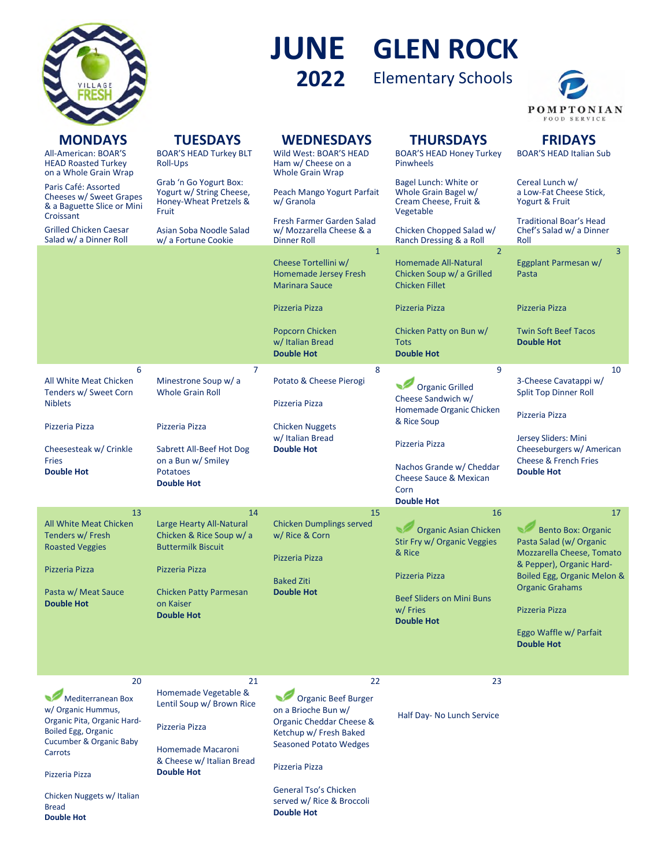

## **GLEN ROCK JUNE**

Elementary Schools **2022**



| <b>MONDAYS</b><br>All-American: BOAR'S<br><b>HEAD Roasted Turkey</b><br>on a Whole Grain Wrap | <b>TUESDAYS</b><br><b>BOAR'S HEAD Turkey BLT</b><br>Roll-Ups                          | <b>WEDNESDAYS</b><br>Wild West: BOAR'S HEAD<br>Ham w/ Cheese on a<br><b>Whole Grain Wrap</b>  | <b>THURSDAYS</b><br><b>BOAR'S HEAD Honey Turkey</b><br><b>Pinwheels</b>                      | <b>FRIDAYS</b><br><b>BOAR'S HEAD Italian Sub</b>                                                              |
|-----------------------------------------------------------------------------------------------|---------------------------------------------------------------------------------------|-----------------------------------------------------------------------------------------------|----------------------------------------------------------------------------------------------|---------------------------------------------------------------------------------------------------------------|
| Paris Café: Assorted<br>Cheeses w/ Sweet Grapes<br>& a Baguette Slice or Mini                 | Grab 'n Go Yogurt Box:<br>Yogurt w/ String Cheese,<br>Honey-Wheat Pretzels &<br>Fruit | Peach Mango Yogurt Parfait<br>w/ Granola                                                      | Bagel Lunch: White or<br>Whole Grain Bagel w/<br>Cream Cheese, Fruit &<br>Vegetable          | Cereal Lunch w/<br>a Low-Fat Cheese Stick.<br>Yogurt & Fruit                                                  |
| Croissant<br><b>Grilled Chicken Caesar</b><br>Salad w/ a Dinner Roll                          | Asian Soba Noodle Salad<br>w/ a Fortune Cookie                                        | Fresh Farmer Garden Salad<br>w/ Mozzarella Cheese & a<br>Dinner Roll                          | Chicken Chopped Salad w/<br>Ranch Dressing & a Roll                                          | <b>Traditional Boar's Head</b><br>Chef's Salad w/ a Dinner<br>Roll                                            |
|                                                                                               |                                                                                       | $\mathbf{1}$<br>Cheese Tortellini w/<br><b>Homemade Jersey Fresh</b><br><b>Marinara Sauce</b> | $\overline{2}$<br>Homemade All-Natural<br>Chicken Soup w/ a Grilled<br><b>Chicken Fillet</b> | $\overline{3}$<br>Eggplant Parmesan w/<br>Pasta                                                               |
|                                                                                               |                                                                                       | Pizzeria Pizza                                                                                | Pizzeria Pizza                                                                               | Pizzeria Pizza                                                                                                |
|                                                                                               |                                                                                       | Popcorn Chicken<br>w/ Italian Bread<br><b>Double Hot</b>                                      | Chicken Patty on Bun w/<br><b>Tots</b><br><b>Double Hot</b>                                  | <b>Twin Soft Beef Tacos</b><br><b>Double Hot</b>                                                              |
| 6<br>All White Meat Chicken<br>Tenders w/ Sweet Corn                                          | $\overline{7}$<br>Minestrone Soup w/ a<br><b>Whole Grain Roll</b>                     | 8<br>Potato & Cheese Pierogi                                                                  | 9<br><b>Organic Grilled</b><br>Cheese Sandwich w/                                            | 10<br>3-Cheese Cavatappi w/<br><b>Split Top Dinner Roll</b>                                                   |
| <b>Niblets</b>                                                                                |                                                                                       | Pizzeria Pizza                                                                                | Homemade Organic Chicken<br>& Rice Soup                                                      | Pizzeria Pizza                                                                                                |
| Pizzeria Pizza                                                                                | Pizzeria Pizza<br>Sabrett All-Beef Hot Dog                                            | <b>Chicken Nuggets</b><br>w/ Italian Bread<br><b>Double Hot</b>                               | Pizzeria Pizza                                                                               | Jersey Sliders: Mini<br>Cheeseburgers w/ American                                                             |
| Cheesesteak w/ Crinkle<br><b>Fries</b><br><b>Double Hot</b>                                   | on a Bun w/ Smiley<br><b>Potatoes</b><br><b>Double Hot</b>                            |                                                                                               | Nachos Grande w/ Cheddar<br><b>Cheese Sauce &amp; Mexican</b><br>Corn<br><b>Double Hot</b>   | <b>Cheese &amp; French Fries</b><br><b>Double Hot</b>                                                         |
| 13                                                                                            | 14                                                                                    | 15                                                                                            | 16                                                                                           | 17                                                                                                            |
| All White Meat Chicken<br>Tenders w/ Fresh<br><b>Roasted Veggies</b>                          | Large Hearty All-Natural<br>Chicken & Rice Soup w/a<br><b>Buttermilk Biscuit</b>      | <b>Chicken Dumplings served</b><br>w/ Rice & Corn<br>Pizzeria Pizza                           | <b>Organic Asian Chicken</b><br>Stir Fry w/ Organic Veggies<br>& Rice                        | <b>Bento Box: Organic</b><br>Pasta Salad (w/ Organic<br>Mozzarella Cheese, Tomato<br>& Pepper), Organic Hard- |
| Pizzeria Pizza                                                                                | Pizzeria Pizza                                                                        | <b>Baked Ziti</b>                                                                             | Pizzeria Pizza                                                                               | Boiled Egg, Organic Melon &<br><b>Organic Grahams</b>                                                         |
| Pasta w/ Meat Sauce<br><b>Double Hot</b>                                                      | <b>Chicken Patty Parmesan</b><br>on Kaiser<br><b>Double Hot</b>                       | <b>Double Hot</b>                                                                             | <b>Beef Sliders on Mini Buns</b><br>w/Fries                                                  | Pizzeria Pizza                                                                                                |
|                                                                                               |                                                                                       |                                                                                               | <b>Double Hot</b>                                                                            | Eggo Waffle w/ Parfait                                                                                        |
|                                                                                               |                                                                                       |                                                                                               |                                                                                              | <b>Double Hot</b>                                                                                             |
| 20                                                                                            | 21                                                                                    | 22                                                                                            | 23                                                                                           |                                                                                                               |
| Mediterranean Box<br>w/ Organic Hummus,<br>Organic Pita, Organic Hard-                        | Homemade Vegetable &<br>Lentil Soup w/ Brown Rice<br>Pizzeria Pizza                   | <b>Organic Beef Burger</b><br>on a Brioche Bun w/<br>Organic Cheddar Cheese &                 | Half Day- No Lunch Service                                                                   |                                                                                                               |
| <b>Boiled Egg, Organic</b><br><b>Cucumber &amp; Organic Baby</b><br>Carrots                   | Homemade Macaroni                                                                     | Ketchup w/ Fresh Baked<br><b>Seasoned Potato Wedges</b>                                       |                                                                                              |                                                                                                               |
| Pizzeria Pizza                                                                                | & Cheese w/ Italian Bread<br><b>Double Hot</b>                                        | Pizzeria Pizza                                                                                |                                                                                              |                                                                                                               |
| Chicken Nuggets w/ Italian<br><b>Bread</b><br><b>Double Hot</b>                               |                                                                                       | General Tso's Chicken<br>served w/ Rice & Broccoli<br><b>Double Hot</b>                       |                                                                                              |                                                                                                               |